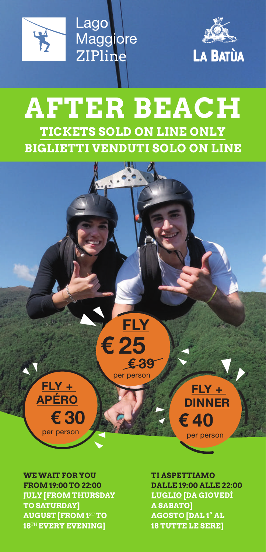

Lago Maggiore ZIPline



## **AFTER BEACH TICKETS SOLD ON LINE ONLY BIGLIETTI VENDUTI SOLO ON LINE**

**FLY**

**€ 25**

**€ 39**

per person



**€ 30** per persor

**FLY + APÉRO**

**FROM 19:00 TO 22:00 JULY [FROM THURSDAY TO SATURDAY] AUGUST [FROM 1**ST **TO 18**TH **EVERY EVENING]**

**TI ASPETTIAMO DALLE 19:00 ALLE 22:00 LUGLIO [DA GIOVEDÌ A SABATO] AGOSTO [DAL 1° AL 18 TUTTE LE SERE]**

**€ 40** per person

**FLY + DINNER**